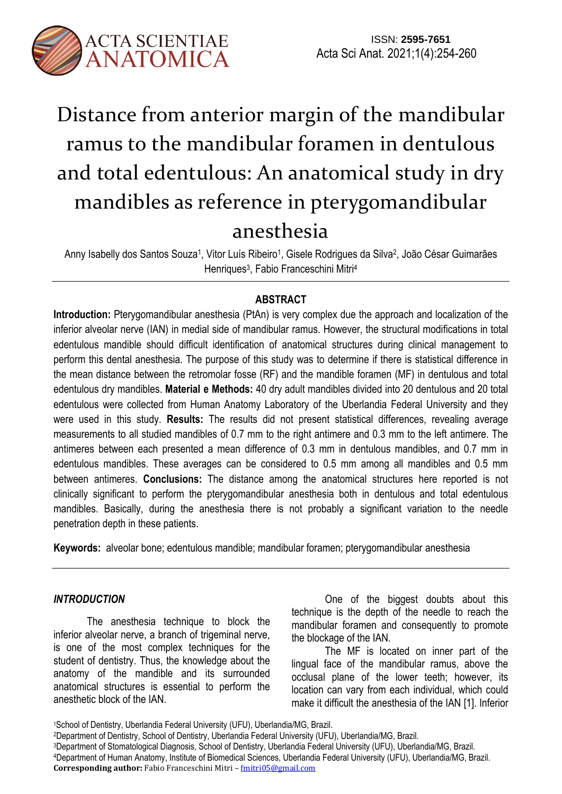

# Distance from anterior margin of the mandibular ramus to the mandibular foramen in dentulous and total edentulous: An anatomical study in dry mandibles as reference in pterygomandibular anesthesia

Anny Isabelly dos Santos Souza<sup>1</sup>, Vitor Luís Ribeiro<sup>1</sup>, Gisele Rodrigues da Silva<sup>2</sup>, João César Guimarães Henriques 3 , Fabio Franceschini Mitri<sup>4</sup>

# **ABSTRACT**

**Introduction:** Pterygomandibular anesthesia (PtAn) is very complex due the approach and localization of the inferior alveolar nerve (IAN) in medial side of mandibular ramus. However, the structural modifications in total edentulous mandible should difficult identification of anatomical structures during clinical management to perform this dental anesthesia. The purpose of this study was to determine if there is statistical difference in the mean distance between the retromolar fosse (RF) and the mandible foramen (MF) in dentulous and total edentulous dry mandibles. **Material e Methods:** 40 dry adult mandibles divided into 20 dentulous and 20 total edentulous were collected from Human Anatomy Laboratory of the Uberlandia Federal University and they were used in this study. **Results:** The results did not present statistical differences, revealing average measurements to all studied mandibles of 0.7 mm to the right antimere and 0.3 mm to the left antimere. The antimeres between each presented a mean difference of 0.3 mm in dentulous mandibles, and 0.7 mm in edentulous mandibles. These averages can be considered to 0.5 mm among all mandibles and 0.5 mm between antimeres. **Conclusions:** The distance among the anatomical structures here reported is not clinically significant to perform the pterygomandibular anesthesia both in dentulous and total edentulous mandibles. Basically, during the anesthesia there is not probably a significant variation to the needle penetration depth in these patients.

**Keywords:** alveolar bone; edentulous mandible; mandibular foramen; pterygomandibular anesthesia

## *INTRODUCTION*

The anesthesia technique to block the inferior alveolar nerve, a branch of trigeminal nerve, is one of the most complex techniques for the student of dentistry. Thus, the knowledge about the anatomy of the mandible and its surrounded anatomical structures is essential to perform the anesthetic block of the IAN.

One of the biggest doubts about this technique is the depth of the needle to reach the mandibular foramen and consequently to promote the blockage of the IAN.

The MF is located on inner part of the lingual face of the mandibular ramus, above the occlusal plane of the lower teeth; however, its location can vary from each individual, which could make it difficult the anesthesia of the IAN [1]. Inferior

<sup>1</sup>School of Dentistry, Uberlandia Federal University (UFU), Uberlandia/MG, Brazil.

<sup>2</sup>Department of Dentistry, School of Dentistry, Uberlandia Federal University (UFU), Uberlandia/MG, Brazil.

<sup>3</sup>Department of Stomatological Diagnosis, School of Dentistry, Uberlandia Federal University (UFU), Uberlandia/MG, Brazil.

<sup>4</sup>Department of Human Anatomy, Institute of Biomedical Sciences, Uberlandia Federal University (UFU), Uberlandia/MG, Brazil. **Corresponding author:** Fabio Franceschini Mitri – fmitri05@gmail.com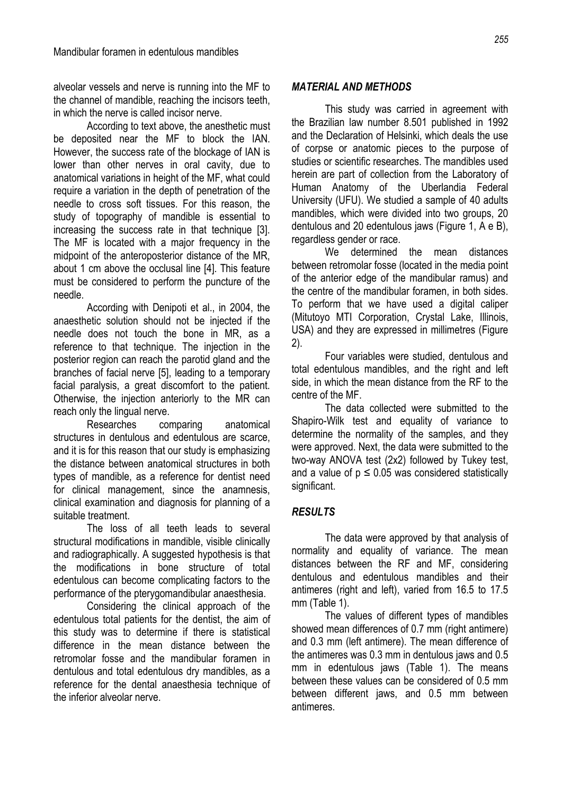alveolar vessels and nerve is running into the MF to the channel of mandible, reaching the incisors teeth, in which the nerve is called incisor nerve.

According to text above, the anesthetic must be deposited near the MF to block the IAN. However, the success rate of the blockage of IAN is lower than other nerves in oral cavity, due to anatomical variations in height of the MF, what could require a variation in the depth of penetration of the needle to cross soft tissues. For this reason, the study of topography of mandible is essential to increasing the success rate in that technique [3]. The MF is located with a major frequency in the midpoint of the anteroposterior distance of the MR, about 1 cm above the occlusal line [4]. This feature must be considered to perform the puncture of the needle.

According with Denipoti et al., in 2004, the anaesthetic solution should not be injected if the needle does not touch the bone in MR, as a reference to that technique. The injection in the posterior region can reach the parotid gland and the branches of facial nerve [5], leading to a temporary facial paralysis, a great discomfort to the patient. Otherwise, the injection anteriorly to the MR can reach only the lingual nerve.

Researches comparing anatomical structures in dentulous and edentulous are scarce, and it is for this reason that our study is emphasizing the distance between anatomical structures in both types of mandible, as a reference for dentist need for clinical management, since the anamnesis, clinical examination and diagnosis for planning of a suitable treatment.

The loss of all teeth leads to several structural modifications in mandible, visible clinically and radiographically. A suggested hypothesis is that the modifications in bone structure of total edentulous can become complicating factors to the performance of the pterygomandibular anaesthesia.

Considering the clinical approach of the edentulous total patients for the dentist, the aim of this study was to determine if there is statistical difference in the mean distance between the retromolar fosse and the mandibular foramen in dentulous and total edentulous dry mandibles, as a reference for the dental anaesthesia technique of the inferior alveolar nerve.

## *MATERIAL AND METHODS*

This study was carried in agreement with the Brazilian law number 8.501 published in 1992 and the Declaration of Helsinki, which deals the use of corpse or anatomic pieces to the purpose of studies or scientific researches. The mandibles used herein are part of collection from the Laboratory of Human Anatomy of the Uberlandia Federal University (UFU). We studied a sample of 40 adults mandibles, which were divided into two groups, 20 dentulous and 20 edentulous jaws (Figure 1, A e B), regardless gender or race.

We determined the mean distances between retromolar fosse (located in the media point of the anterior edge of the mandibular ramus) and the centre of the mandibular foramen, in both sides. To perform that we have used a digital caliper (Mitutoyo MTI Corporation, Crystal Lake, Illinois, USA) and they are expressed in millimetres (Figure 2).

Four variables were studied, dentulous and total edentulous mandibles, and the right and left side, in which the mean distance from the RF to the centre of the MF.

The data collected were submitted to the Shapiro-Wilk test and equality of variance to determine the normality of the samples, and they were approved. Next, the data were submitted to the two-way ANOVA test (2x2) followed by Tukey test, and a value of  $p \le 0.05$  was considered statistically significant.

## *RESULTS*

The data were approved by that analysis of normality and equality of variance. The mean distances between the RF and MF, considering dentulous and edentulous mandibles and their antimeres (right and left), varied from 16.5 to 17.5 mm (Table 1).

The values of different types of mandibles showed mean differences of 0.7 mm (right antimere) and 0.3 mm (left antimere). The mean difference of the antimeres was 0.3 mm in dentulous jaws and 0.5 mm in edentulous jaws (Table 1). The means between these values can be considered of 0.5 mm between different jaws, and 0.5 mm between antimeres.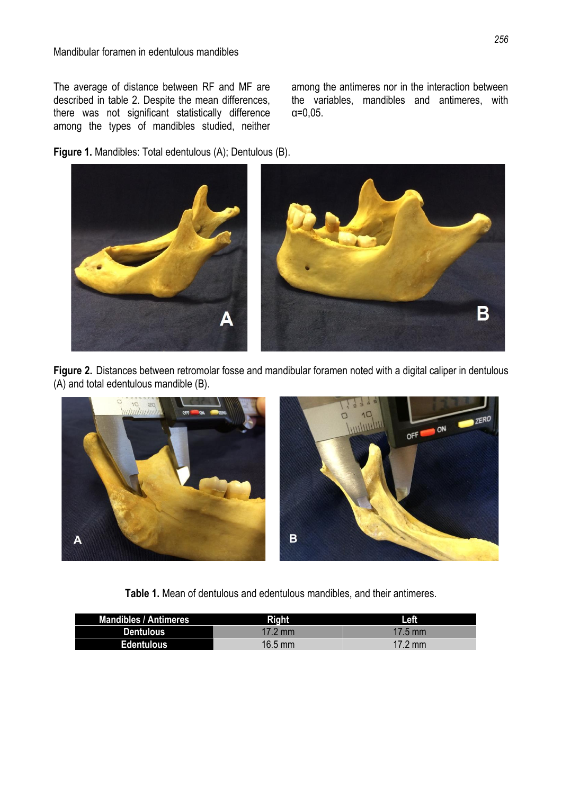The average of distance between RF and MF are described in table 2. Despite the mean differences, there was not significant statistically difference among the types of mandibles studied, neither among the antimeres nor in the interaction between the variables, mandibles and antimeres, with α=0,05.

**Figure 1.** Mandibles: Total edentulous (A); Dentulous (B).



**Figure 2.** Distances between retromolar fosse and mandibular foramen noted with a digital caliper in dentulous (A) and total edentulous mandible (B).



**Table 1.** Mean of dentulous and edentulous mandibles, and their antimeres.

| <b>Mandibles / Antimeres</b> | <b>Right</b>      | Left              |
|------------------------------|-------------------|-------------------|
| <b>Dentulous</b>             | $17.2 \text{ mm}$ | $17.5$ mm         |
| <b>Edentulous</b>            | $16.5$ mm         | $17.2 \text{ mm}$ |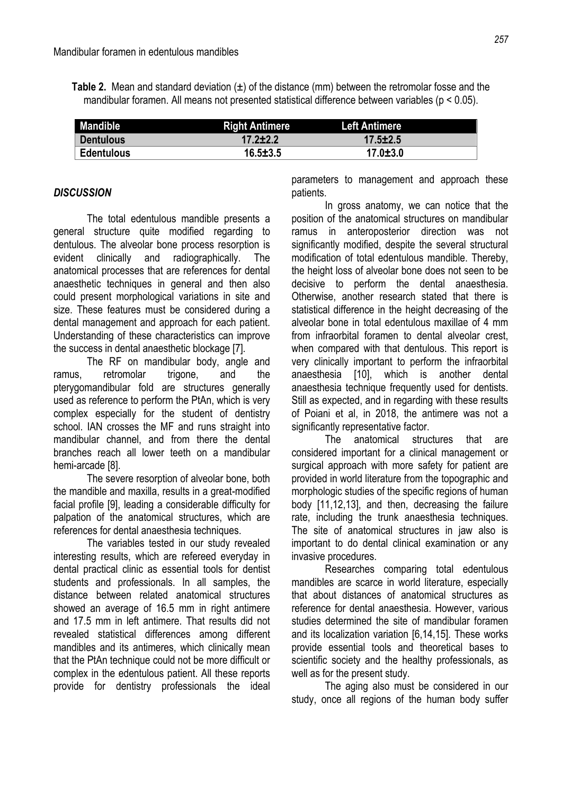**Table 2.** Mean and standard deviation  $(\pm)$  of the distance (mm) between the retromolar fosse and the mandibular foramen. All means not presented statistical difference between variables (p < 0.05).

| <b>Mandible</b>   | <b>Right Antimere</b> | <b>Left Antimere</b> |  |
|-------------------|-----------------------|----------------------|--|
| <b>Dentulous</b>  | $17.2 \pm 2.2$        | $17.5 \pm 2.5$       |  |
| <b>Edentulous</b> | $16.5 \pm 3.5$        | $17.0 \pm 3.0$       |  |

## *DISCUSSION*

The total edentulous mandible presents a general structure quite modified regarding to dentulous. The alveolar bone process resorption is evident clinically and radiographically. The anatomical processes that are references for dental anaesthetic techniques in general and then also could present morphological variations in site and size. These features must be considered during a dental management and approach for each patient. Understanding of these characteristics can improve the success in dental anaesthetic blockage [7].

The RF on mandibular body, angle and ramus, retromolar trigone, and the pterygomandibular fold are structures generally used as reference to perform the PtAn, which is very complex especially for the student of dentistry school. IAN crosses the MF and runs straight into mandibular channel, and from there the dental branches reach all lower teeth on a mandibular hemi-arcade [8].

The severe resorption of alveolar bone, both the mandible and maxilla, results in a great-modified facial profile [9], leading a considerable difficulty for palpation of the anatomical structures, which are references for dental anaesthesia techniques.

The variables tested in our study revealed interesting results, which are refereed everyday in dental practical clinic as essential tools for dentist students and professionals. In all samples, the distance between related anatomical structures showed an average of 16.5 mm in right antimere and 17.5 mm in left antimere. That results did not revealed statistical differences among different mandibles and its antimeres, which clinically mean that the PtAn technique could not be more difficult or complex in the edentulous patient. All these reports provide for dentistry professionals the ideal

parameters to management and approach these patients.

In gross anatomy, we can notice that the position of the anatomical structures on mandibular ramus in anteroposterior direction was not significantly modified, despite the several structural modification of total edentulous mandible. Thereby, the height loss of alveolar bone does not seen to be decisive to perform the dental anaesthesia. Otherwise, another research stated that there is statistical difference in the height decreasing of the alveolar bone in total edentulous maxillae of 4 mm from infraorbital foramen to dental alveolar crest, when compared with that dentulous. This report is very clinically important to perform the infraorbital anaesthesia [10], which is another dental anaesthesia technique frequently used for dentists. Still as expected, and in regarding with these results of Poiani et al, in 2018, the antimere was not a significantly representative factor.

The anatomical structures that are considered important for a clinical management or surgical approach with more safety for patient are provided in world literature from the topographic and morphologic studies of the specific regions of human body [11,12,13], and then, decreasing the failure rate, including the trunk anaesthesia techniques. The site of anatomical structures in jaw also is important to do dental clinical examination or any invasive procedures.

Researches comparing total edentulous mandibles are scarce in world literature, especially that about distances of anatomical structures as reference for dental anaesthesia. However, various studies determined the site of mandibular foramen and its localization variation [6,14,15]. These works provide essential tools and theoretical bases to scientific society and the healthy professionals, as well as for the present study.

The aging also must be considered in our study, once all regions of the human body suffer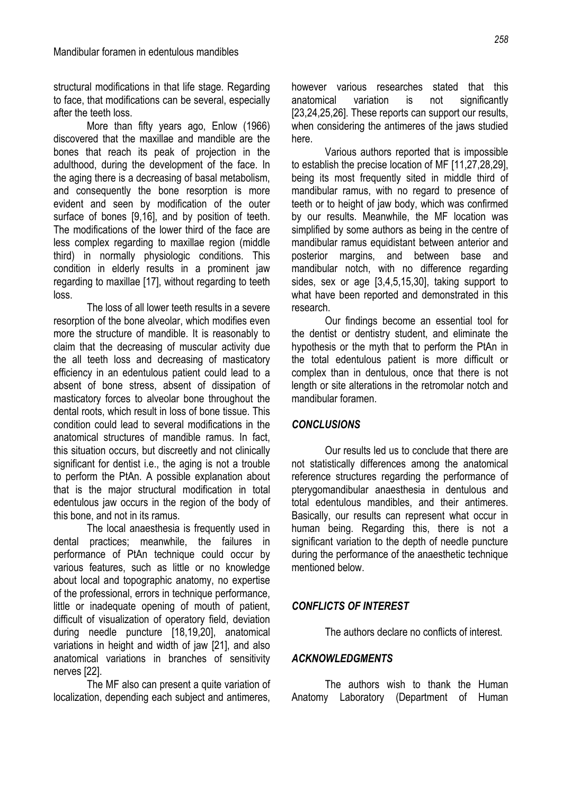structural modifications in that life stage. Regarding to face, that modifications can be several, especially after the teeth loss.

More than fifty years ago, Enlow (1966) discovered that the maxillae and mandible are the bones that reach its peak of projection in the adulthood, during the development of the face. In the aging there is a decreasing of basal metabolism, and consequently the bone resorption is more evident and seen by modification of the outer surface of bones [9,16], and by position of teeth. The modifications of the lower third of the face are less complex regarding to maxillae region (middle third) in normally physiologic conditions. This condition in elderly results in a prominent jaw regarding to maxillae [17], without regarding to teeth loss.

The loss of all lower teeth results in a severe resorption of the bone alveolar, which modifies even more the structure of mandible. It is reasonably to claim that the decreasing of muscular activity due the all teeth loss and decreasing of masticatory efficiency in an edentulous patient could lead to a absent of bone stress, absent of dissipation of masticatory forces to alveolar bone throughout the dental roots, which result in loss of bone tissue. This condition could lead to several modifications in the anatomical structures of mandible ramus. In fact, this situation occurs, but discreetly and not clinically significant for dentist i.e., the aging is not a trouble to perform the PtAn. A possible explanation about that is the major structural modification in total edentulous jaw occurs in the region of the body of this bone, and not in its ramus.

The local anaesthesia is frequently used in dental practices; meanwhile, the failures in performance of PtAn technique could occur by various features, such as little or no knowledge about local and topographic anatomy, no expertise of the professional, errors in technique performance, little or inadequate opening of mouth of patient, difficult of visualization of operatory field, deviation during needle puncture [18,19,20], anatomical variations in height and width of jaw [21], and also anatomical variations in branches of sensitivity nerves [22].

The MF also can present a quite variation of localization, depending each subject and antimeres,

however various researches stated that this anatomical variation is not significantly [23,24,25,26]. These reports can support our results, when considering the antimeres of the jaws studied here.

Various authors reported that is impossible to establish the precise location of MF [11,27,28,29], being its most frequently sited in middle third of mandibular ramus, with no regard to presence of teeth or to height of jaw body, which was confirmed by our results. Meanwhile, the MF location was simplified by some authors as being in the centre of mandibular ramus equidistant between anterior and posterior margins, and between base and mandibular notch, with no difference regarding sides, sex or age [3,4,5,15,30], taking support to what have been reported and demonstrated in this research.

Our findings become an essential tool for the dentist or dentistry student, and eliminate the hypothesis or the myth that to perform the PtAn in the total edentulous patient is more difficult or complex than in dentulous, once that there is not length or site alterations in the retromolar notch and mandibular foramen.

### *CONCLUSIONS*

Our results led us to conclude that there are not statistically differences among the anatomical reference structures regarding the performance of pterygomandibular anaesthesia in dentulous and total edentulous mandibles, and their antimeres. Basically, our results can represent what occur in human being. Regarding this, there is not a significant variation to the depth of needle puncture during the performance of the anaesthetic technique mentioned below.

### *CONFLICTS OF INTEREST*

The authors declare no conflicts of interest.

#### *ACKNOWLEDGMENTS*

The authors wish to thank the Human Anatomy Laboratory (Department of Human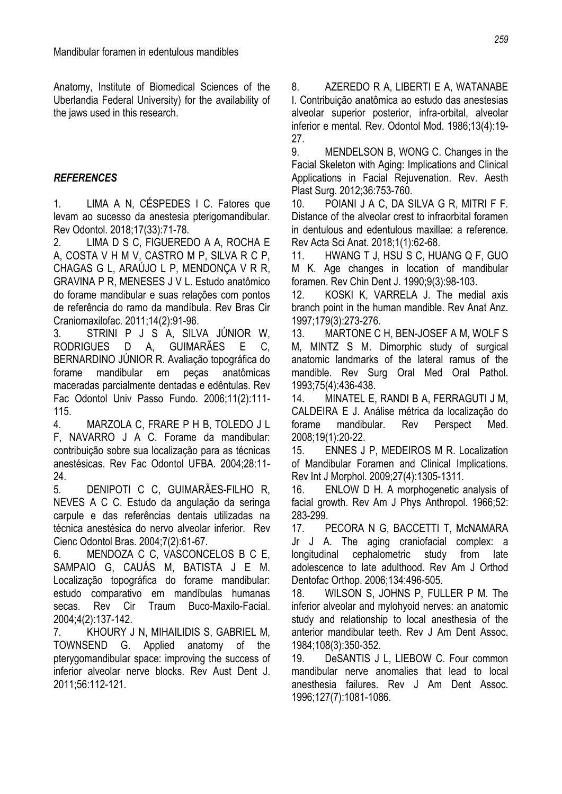Anatomy, Institute of Biomedical Sciences of the Uberlandia Federal University) for the availability of the jaws used in this research.

## *REFERENCES*

1. LIMA A N, CÉSPEDES I C. Fatores que levam ao sucesso da anestesia pterigomandibular. Rev Odontol. 2018;17(33):71-78.

2. LIMA D S C, FIGUEREDO A A, ROCHA E A, COSTA V H M V, CASTRO M P, SILVA R C P, CHAGAS G L, ARAÚJO L P, MENDONÇA V R R, GRAVINA P R, MENESES J V L. Estudo anatômico do forame mandibular e suas relações com pontos de referência do ramo da mandíbula. Rev Bras Cir Craniomaxilofac. 2011;14(2):91-96.

3. STRINI P J S A, SILVA JÚNIOR W, RODRIGUES D A, GUIMARÃES E C, BERNARDINO JÚNIOR R. Avaliação topográfica do forame mandibular em peças anatômicas maceradas parcialmente dentadas e edêntulas. Rev Fac Odontol Univ Passo Fundo. 2006;11(2):111- 115.

4. MARZOLA C, FRARE P H B, TOLEDO J L F, NAVARRO J A C. Forame da mandibular: contribuição sobre sua localização para as técnicas anestésicas. Rev Fac Odontol UFBA. 2004;28:11- 24.

5. DENIPOTI C C, GUIMARÃES-FILHO R, NEVES A C C. Estudo da angulação da seringa carpule e das referências dentais utilizadas na técnica anestésica do nervo alveolar inferior. Rev Cienc Odontol Bras. 2004;7(2):61-67.

6. MENDOZA C C, VASCONCELOS B C E, SAMPAIO G, CAUÁS M, BATISTA J E M. Localização topográfica do forame mandibular: estudo comparativo em mandíbulas humanas secas. Rev Cir Traum Buco-Maxilo-Facial. 2004;4(2):137-142.

7. KHOURY J N, MIHAILIDIS S, GABRIEL M, TOWNSEND G. Applied anatomy of the pterygomandibular space: improving the success of inferior alveolar nerve blocks. Rev Aust Dent J. 2011;56:112-121.

8. AZEREDO R A, LIBERTI E A, WATANABE I. Contribuição anatômica ao estudo das anestesias alveolar superior posterior, infra-orbital, alveolar inferior e mental. Rev. Odontol Mod. 1986;13(4):19- 27.

9. MENDELSON B, WONG C. Changes in the Facial Skeleton with Aging: Implications and Clinical Applications in Facial Rejuvenation. Rev. Aesth Plast Surg. 2012;36:753-760.

10. POIANI J A C, DA SILVA G R, MITRI F F. Distance of the alveolar crest to infraorbital foramen in dentulous and edentulous maxillae: a reference. Rev Acta Sci Anat. 2018;1(1):62-68.

11. HWANG T J, HSU S C, HUANG Q F, GUO M K. Age changes in location of mandibular foramen. Rev Chin Dent J. 1990;9(3):98-103.

12. KOSKI K, VARRELA J. The medial axis branch point in the human mandible. Rev Anat Anz. 1997;179(3):273-276.

13. MARTONE C H, BEN-JOSEF A M, WOLF S M, MINTZ S M. Dimorphic study of surgical anatomic landmarks of the lateral ramus of the mandible. Rev Surg Oral Med Oral Pathol. 1993;75(4):436-438.

14. MINATEL E, RANDI B A, FERRAGUTI J M, CALDEIRA E J. Análise métrica da localização do forame mandibular. Rev Perspect Med. 2008;19(1):20-22.

15. ENNES J P, MEDEIROS M R. Localization of Mandibular Foramen and Clinical Implications. Rev Int J Morphol. 2009;27(4):1305-1311.

16. ENLOW D H. A morphogenetic analysis of facial growth. Rev Am J Phys Anthropol. 1966;52: 283-299.

17. PECORA N G, BACCETTI T, McNAMARA Jr J A. The aging craniofacial complex: a longitudinal cephalometric study from late adolescence to late adulthood. Rev Am J Orthod Dentofac Orthop. 2006;134:496-505.

18. WILSON S, JOHNS P, FULLER P M. The inferior alveolar and mylohyoid nerves: an anatomic study and relationship to local anesthesia of the anterior mandibular teeth. Rev J Am Dent Assoc. 1984;108(3):350-352.

19. DeSANTIS J L, LIEBOW C. Four common mandibular nerve anomalies that lead to local anesthesia failures. Rev J Am Dent Assoc. 1996;127(7):1081-1086.